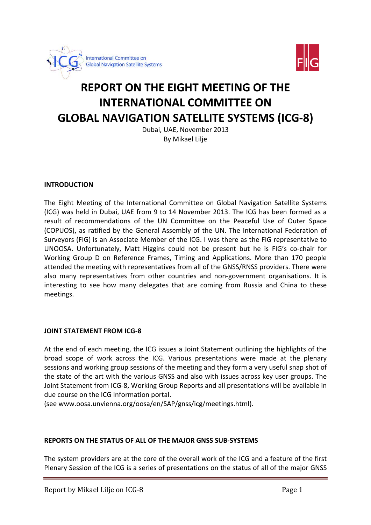



# **REPORT ON THE EIGHT MEETING OF THE INTERNATIONAL COMMITTEE ON GLOBAL NAVIGATION SATELLITE SYSTEMS (ICG-8)**

Dubai, UAE, November 2013 By Mikael Lilje

### **INTRODUCTION**

The Eight Meeting of the International Committee on Global Navigation Satellite Systems (ICG) was held in Dubai, UAE from 9 to 14 November 2013. The ICG has been formed as a result of recommendations of the UN Committee on the Peaceful Use of Outer Space (COPUOS), as ratified by the General Assembly of the UN. The International Federation of Surveyors (FIG) is an Associate Member of the ICG. I was there as the FIG representative to UNOOSA. Unfortunately, Matt Higgins could not be present but he is FIG's co-chair for Working Group D on Reference Frames, Timing and Applications. More than 170 people attended the meeting with representatives from all of the GNSS/RNSS providers. There were also many representatives from other countries and non-government organisations. It is interesting to see how many delegates that are coming from Russia and China to these meetings.

#### **JOINT STATEMENT FROM ICG-8**

At the end of each meeting, the ICG issues a Joint Statement outlining the highlights of the broad scope of work across the ICG. Various presentations were made at the plenary sessions and working group sessions of the meeting and they form a very useful snap shot of the state of the art with the various GNSS and also with issues across key user groups. The Joint Statement from ICG-8, Working Group Reports and all presentations will be available in due course on the ICG Information portal.

(see www.oosa.unvienna.org/oosa/en/SAP/gnss/icg/meetings.html).

### **REPORTS ON THE STATUS OF ALL OF THE MAJOR GNSS SUB-SYSTEMS**

The system providers are at the core of the overall work of the ICG and a feature of the first Plenary Session of the ICG is a series of presentations on the status of all of the major GNSS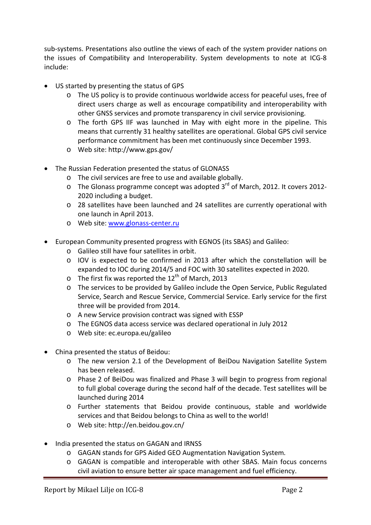sub-systems. Presentations also outline the views of each of the system provider nations on the issues of Compatibility and Interoperability. System developments to note at ICG-8 include:

- US started by presenting the status of GPS
	- o The US policy is to provide continuous worldwide access for peaceful uses, free of direct users charge as well as encourage compatibility and interoperability with other GNSS services and promote transparency in civil service provisioning.
	- o The forth GPS IIF was launched in May with eight more in the pipeline. This means that currently 31 healthy satellites are operational. Global GPS civil service performance commitment has been met continuously since December 1993.
	- o Web site: http://www.gps.gov/
- The Russian Federation presented the status of GLONASS
	- o The civil services are free to use and available globally.
	- $\circ$  The Glonass programme concept was adopted 3<sup>rd</sup> of March, 2012. It covers 2012-2020 including a budget.
	- o 28 satellites have been launched and 24 satellites are currently operational with one launch in April 2013.
	- o Web site: [www.glonass-center.ru](http://www.glonass-center.ru/)
- European Community presented progress with EGNOS (its SBAS) and Galileo:
	- o Galileo still have four satellites in orbit.
	- o IOV is expected to be confirmed in 2013 after which the constellation will be expanded to IOC during 2014/5 and FOC with 30 satellites expected in 2020.
	- $\circ$  The first fix was reported the 12<sup>th</sup> of March, 2013
	- o The services to be provided by Galileo include the Open Service, Public Regulated Service, Search and Rescue Service, Commercial Service. Early service for the first three will be provided from 2014.
	- o A new Service provision contract was signed with ESSP
	- o The EGNOS data access service was declared operational in July 2012
	- o Web site: ec.europa.eu/galileo
- China presented the status of Beidou:
	- o The new version 2.1 of the Development of BeiDou Navigation Satellite System has been released.
	- o Phase 2 of BeiDou was finalized and Phase 3 will begin to progress from regional to full global coverage during the second half of the decade. Test satellites will be launched during 2014
	- o Further statements that Beidou provide continuous, stable and worldwide services and that Beidou belongs to China as well to the world!
	- o Web site: http://en.beidou.gov.cn/
- India presented the status on GAGAN and IRNSS
	- o GAGAN stands for GPS Aided GEO Augmentation Navigation System*.*
	- o GAGAN is compatible and interoperable with other SBAS. Main focus concerns civil aviation to ensure better air space management and fuel efficiency.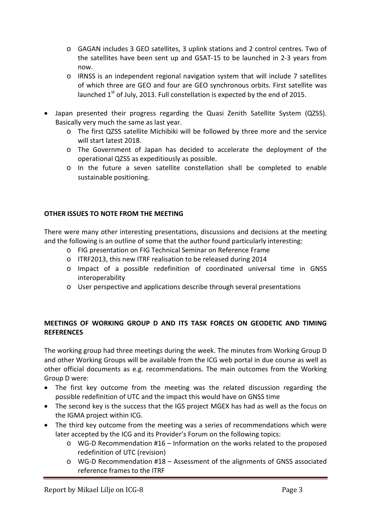- o GAGAN includes 3 GEO satellites, 3 uplink stations and 2 control centres. Two of the satellites have been sent up and GSAT-15 to be launched in 2-3 years from now.
- o IRNSS is an independent regional navigation system that will include 7 satellites of which three are GEO and four are GEO synchronous orbits. First satellite was launched  $1<sup>st</sup>$  of July, 2013. Full constellation is expected by the end of 2015.
- Japan presented their progress regarding the Quasi Zenith Satellite System (QZSS). Basically very much the same as last year.
	- o The first QZSS satellite Michibiki will be followed by three more and the service will start latest 2018.
	- o The Government of Japan has decided to accelerate the deployment of the operational QZSS as expeditiously as possible.
	- o In the future a seven satellite constellation shall be completed to enable sustainable positioning.

# **OTHER ISSUES TO NOTE FROM THE MEETING**

There were many other interesting presentations, discussions and decisions at the meeting and the following is an outline of some that the author found particularly interesting:

- o FIG presentation on FIG Technical Seminar on Reference Frame
- o ITRF2013, this new ITRF realisation to be released during 2014
- o Impact of a possible redefinition of coordinated universal time in GNSS interoperability
- o User perspective and applications describe through several presentations

# **MEETINGS OF WORKING GROUP D AND ITS TASK FORCES ON GEODETIC AND TIMING REFERENCES**

The working group had three meetings during the week. The minutes from Working Group D and other Working Groups will be available from the ICG web portal in due course as well as other official documents as e.g. recommendations. The main outcomes from the Working Group D were:

- The first key outcome from the meeting was the related discussion regarding the possible redefinition of UTC and the impact this would have on GNSS time
- The second key is the success that the IGS project MGEX has had as well as the focus on the IGMA project within ICG.
- The third key outcome from the meeting was a series of recommendations which were later accepted by the ICG and its Provider's Forum on the following topics:
	- o WG-D Recommendation #16 Information on the works related to the proposed redefinition of UTC (revision)
	- o WG-D Recommendation #18 Assessment of the alignments of GNSS associated reference frames to the ITRF